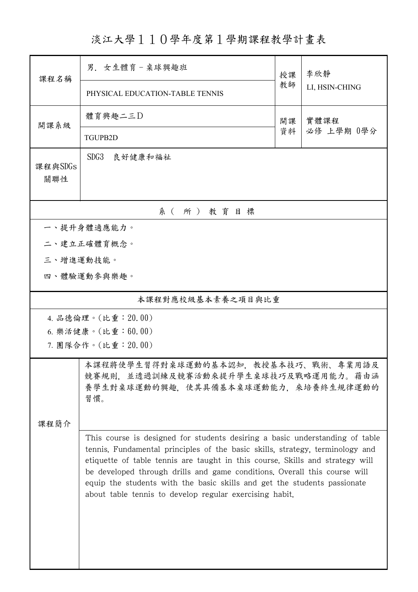淡江大學110學年度第1學期課程教學計畫表

| 課程名稱                | 男. 女生體育-桌球興趣班                                                                                                                                                                                                                                                                                                                                                                                                                                                      |          | 李欣靜                |  |  |  |  |
|---------------------|--------------------------------------------------------------------------------------------------------------------------------------------------------------------------------------------------------------------------------------------------------------------------------------------------------------------------------------------------------------------------------------------------------------------------------------------------------------------|----------|--------------------|--|--|--|--|
|                     | PHYSICAL EDUCATION-TABLE TENNIS                                                                                                                                                                                                                                                                                                                                                                                                                                    | 教師       | LI, HSIN-CHING     |  |  |  |  |
| 開課系級                | 體育興趣二三D                                                                                                                                                                                                                                                                                                                                                                                                                                                            | 開課<br>資料 | 實體課程<br>必修 上學期 0學分 |  |  |  |  |
|                     | TGUPB2D                                                                                                                                                                                                                                                                                                                                                                                                                                                            |          |                    |  |  |  |  |
| 課程與SDGs<br>關聯性      | SDG <sub>3</sub><br>良好健康和福祉                                                                                                                                                                                                                                                                                                                                                                                                                                        |          |                    |  |  |  |  |
| 系(所)教育目標            |                                                                                                                                                                                                                                                                                                                                                                                                                                                                    |          |                    |  |  |  |  |
| 一、提升身體適應能力。         |                                                                                                                                                                                                                                                                                                                                                                                                                                                                    |          |                    |  |  |  |  |
|                     | 二、建立正確體育概念。                                                                                                                                                                                                                                                                                                                                                                                                                                                        |          |                    |  |  |  |  |
| 三、增進運動技能。           |                                                                                                                                                                                                                                                                                                                                                                                                                                                                    |          |                    |  |  |  |  |
|                     | 四、體驗運動參與樂趣。                                                                                                                                                                                                                                                                                                                                                                                                                                                        |          |                    |  |  |  |  |
| 本課程對應校級基本素養之項目與比重   |                                                                                                                                                                                                                                                                                                                                                                                                                                                                    |          |                    |  |  |  |  |
| 4. 品德倫理。(比重: 20.00) |                                                                                                                                                                                                                                                                                                                                                                                                                                                                    |          |                    |  |  |  |  |
|                     | 6. 樂活健康。(比重:60.00)                                                                                                                                                                                                                                                                                                                                                                                                                                                 |          |                    |  |  |  |  |
|                     | 7. 團隊合作。(比重:20.00)                                                                                                                                                                                                                                                                                                                                                                                                                                                 |          |                    |  |  |  |  |
|                     | 本課程將使學生習得對桌球運動的基本認知,教授基本技巧、戰術、專業用語及<br>競賽規則,並透過訓練及競賽活動來提升學生桌球技巧及戰略運用能力。藉由涵<br>養學生對桌球運動的興趣,使其具備基本桌球運動能力,來培養終生規律運動的<br>習慣。                                                                                                                                                                                                                                                                                                                                           |          |                    |  |  |  |  |
| 课程简介                |                                                                                                                                                                                                                                                                                                                                                                                                                                                                    |          |                    |  |  |  |  |
|                     | This course is designed for students desiring a basic understanding of table<br>tennis. Fundamental principles of the basic skills, strategy, terminology and<br>etiquette of table tennis are taught in this course. Skills and strategy will<br>be developed through drills and game conditions. Overall this course will<br>equip the students with the basic skills and get the students passionate<br>about table tennis to develop regular exercising habit. |          |                    |  |  |  |  |
|                     |                                                                                                                                                                                                                                                                                                                                                                                                                                                                    |          |                    |  |  |  |  |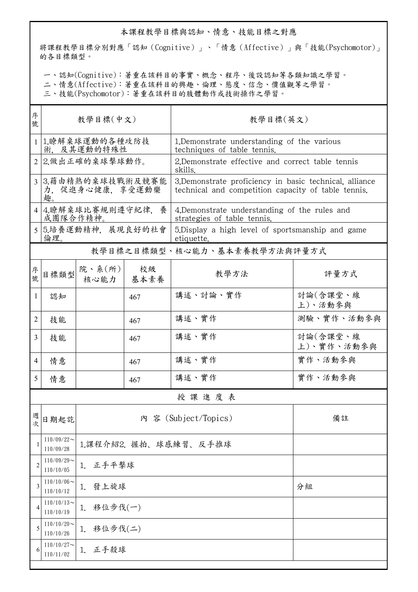## 本課程教學目標與認知、情意、技能目標之對應

將課程教學目標分別對應「認知(Cognitive)」、「情意(Affective)」與「技能(Psychomotor)」 的各目標類型。

一、認知(Cognitive):著重在該科目的事實、概念、程序、後設認知等各類知識之學習。

二、情意(Affective):著重在該科目的興趣、倫理、態度、信念、價值觀等之學習。

三、技能(Psychomotor):著重在該科目的肢體動作或技術操作之學習。

| 序<br>號         | 教學目標(中文)                                          |                            |            | 教學目標(英文)                                                                                                       |                        |  |  |  |
|----------------|---------------------------------------------------|----------------------------|------------|----------------------------------------------------------------------------------------------------------------|------------------------|--|--|--|
| 1 <sup>1</sup> | 1.瞭解桌球運動的各種攻防技<br>術, 及其運動的特殊性                     |                            |            | 1. Demonstrate understanding of the various<br>techniques of table tennis.                                     |                        |  |  |  |
|                | 2 2.做出正確的桌球擊球動作。                                  |                            |            | 2. Demonstrate effective and correct table tennis<br>skills.                                                   |                        |  |  |  |
| $\overline{3}$ | 3.藉由精熟的桌球技戰術及競賽能<br>力,促進身心健康,享受運動樂<br>趣。          |                            |            | 3. Demonstrate proficiency in basic technical, alliance<br>technical and competition capacity of table tennis. |                        |  |  |  |
|                | 4 4.瞭解桌球比賽規則遵守紀律,養<br>成團隊合作精神。                    |                            |            | 4. Demonstrate understanding of the rules and<br>strategies of table tennis.                                   |                        |  |  |  |
|                | 5 5.培養運動精神, 展現良好的社會<br>倫理。                        |                            |            | 5. Display a high level of sportsmanship and game<br>etiquette.                                                |                        |  |  |  |
|                | 教學目標之目標類型、核心能力、基本素養教學方法與評量方式                      |                            |            |                                                                                                                |                        |  |  |  |
| 序號             | 目標類型                                              | 院、系 $(\text{m})$<br>核心能力   | 校級<br>基本素養 | 教學方法                                                                                                           | 評量方式                   |  |  |  |
| 1              | 認知                                                |                            | 467        | 講述、討論、實作                                                                                                       | 討論(含課堂、線<br>上)、活動參與    |  |  |  |
| 2              | 技能                                                |                            | 467        | 講述、實作                                                                                                          | 測驗、實作、活動參與             |  |  |  |
| 3              | 技能                                                |                            | 467        | 講述、實作                                                                                                          | 討論(含課堂、線<br>上)、實作、活動參與 |  |  |  |
| $\overline{4}$ | 情意                                                |                            | 467        | 講述、實作                                                                                                          | 實作、活動參與                |  |  |  |
| 5              | 情意                                                |                            | 467        | 講述、實作                                                                                                          | 實作、活動參與                |  |  |  |
|                | 授課進度表                                             |                            |            |                                                                                                                |                        |  |  |  |
| 週<br>次         | 日期起訖                                              | 内 容 (Subject/Topics)<br>備註 |            |                                                                                                                |                        |  |  |  |
|                | $110/09/22$ ~<br>110/09/28                        | 1.課程介紹2. 握拍、球感練習、反手推球      |            |                                                                                                                |                        |  |  |  |
| 2              | $110/09/29$ ~<br>正手平擊球<br>1.<br>110/10/05         |                            |            |                                                                                                                |                        |  |  |  |
| 3              | $110/10/06 \sim$<br>發上旋球<br>分組<br>1.<br>110/10/12 |                            |            |                                                                                                                |                        |  |  |  |
| 4              | $110/10/13$ ~<br>移位步伐(一)<br>1.<br>110/10/19       |                            |            |                                                                                                                |                        |  |  |  |
| 5              | $110/10/20$ ~<br>移位步伐(二)<br>1.<br>110/10/26       |                            |            |                                                                                                                |                        |  |  |  |
| 6              | $110/10/27$ ~<br>正手殺球<br>1.<br>110/11/02          |                            |            |                                                                                                                |                        |  |  |  |